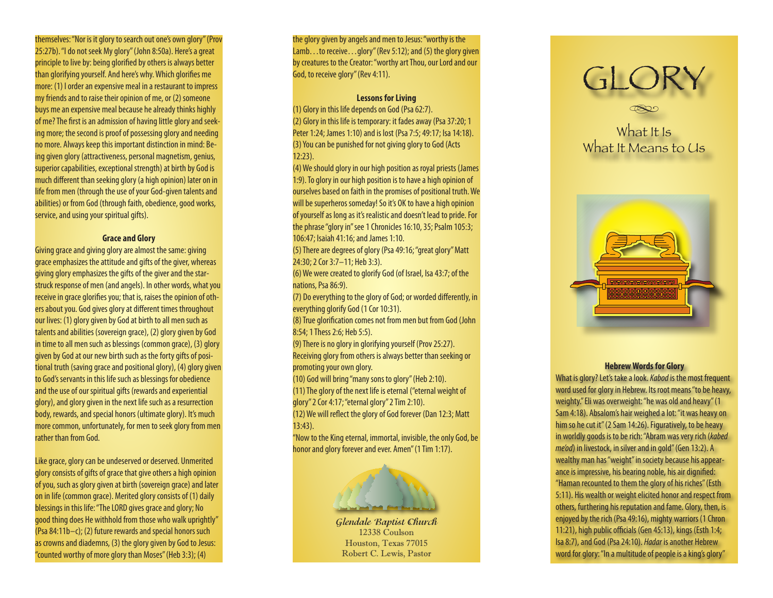themselves: "Nor is it glory to search out one's own glory" (Prov 25:27b). "I do not seek My glory" (John 8:50a). Here's a great principle to live by: being glorified by others is always better than glorifying yourself. And here's why. Which glorifies me more: (1) I order an expensive meal in a restaurant to impress my friends and to raise their opinion of me, or (2) someone buys me an expensive meal because he already thinks highly of me? The first is an admission of having little glory and seek ing more; the second is proof of possessing glory and needing no more. Always keep this important distinction in mind: Be ing given glory (attractiveness, personal magnetism, genius, superior capabilities, exceptional strength) at birth by God is much different than seeking glory (a high opinion) later on in life from men (through the use of your God-given talents and abilities) or from God (through faith, obedience, good works, service, and using your spiritual gifts).

#### **Grace and Glory**

Giving grace and giving glory are almost the same: giving grace emphasizes the attitude and gifts of the giver, whereas giving glory emphasizes the gifts of the giver and the starstruck response of men (and angels). In other words, what you receive in grace glorifies you; that is, raises the opinion of oth ers about you. God gives glory at different times throughout our lives: (1) glory given by God at birth to all men such as talents and abilities (sovereign grace), (2) glory given by God in time to all men such as blessings (common grace), (3) glory given by God at our new birth such as the forty gifts of posi tional truth (saving grace and positional glory), (4) glory given to God's servants in this life such as blessings for obedience and the use of our spiritual gifts (rewards and experiential glory), and glory given in the next life such as a resurrection body, rewards, and special honors (ultimate glory). It's much more common, unfortunately, for men to seek glory from men rather than from God.

Like grace, glory can be undeserved or deserved. Unmerited glory consists of gifts of grace that give others a high opinion of you, such as glory given at birth (sovereign grace) and later on in life (common grace). Merited glory consists of (1) daily blessings in this life: "The LORD gives grace and glory; No good thing does He withhold from those who walk uprightly" (Psa 84:11b–c); (2) future rewards and special honors such as crowns and diademns, (3) the glory given by God to Jesus: "counted worthy of more glory than Moses" (Heb 3:3); (4)

the glory given by angels and men to Jesus: "worthy is the Lamb...to receive...glory" (Rev 5:12); and (5) the glory given by creatures to the Creator: "worthy art Thou, our Lord and our God, to receive glory" (Rev 4:11).

#### **Lessons for Living**

(1) Glory in this life depends on God (Psa 62:7). (2) Glory in this life is temporary: it fades away (Psa 37:20; 1 Peter 1:24; James 1:10) and is lost (Psa 7:5; 49:17; Isa 14:18). (3) You can be punished for not giving glory to God (Acts 12:23).

(4) We should glory in our high position as royal priests (James 1:9). To glory in our high position is to have a high opinion of ourselves based on faith in the promises of positional truth. We will be superheros someday! So it's OK to have a high opinion of yourself as long as it's realistic and doesn't lead to pride. For the phrase "glory in" see 1 Chronicles 16:10, 35; Psalm 105:3; 106:47; Isaiah 41:16; and James 1:10.

(5) There are degrees of glory (Psa 49:16; "great glory" Matt 24:30; 2 Cor 3:7–11; Heb 3:3).

(6) We were created to glorify God (of Israel, Isa 43:7; of the nations, Psa 86:9).

(7) Do everything to the glory of God; or worded differently, in everything glorify God (1 Cor 10:31).

(8) True glorification comes not from men but from God (John 8:54; 1 Thess 2:6; Heb 5:5).

(9) There is no glory in glorifying yourself (Prov 25:27). Receiving glory from others is always better than seeking or promoting your own glory.

(10) God will bring "many sons to glory" (Heb 2:10).

(11) The glory of the next life is eternal ("eternal weight of glory" 2 Cor 4:17; "eternal glory" 2 Tim 2:10).

(12) We will reflect the glory of God forever (Dan 12:3; Matt 13:43).

"Now to the King eternal, immortal, invisible, the only God, be honor and glory forever and ever. Amen" (1 Tim 1:17).

# *<u>And had and</u>*

**Glendale Baptist Church** 12338 Coulson Houston, Texas 77015 Robert C. Lewis, Pastor



# What It Is What It Means to Us



## **Hebrew Words for Glory**

What is glory? Let's take a look. *Kabod* is the most frequent word used for glory in Hebrew. Its root means "to be heavy, weighty." Eli was overweight: "he was old and heavy" (1 Sam 4:18). Absalom's hair weighed a lot: "it was heavy on him so he cut it" (2 Sam 14:26). Figuratively, to be heavy in worldly goods is to be rich: "Abram was very rich (*kabed me'od*) in livestock, in silver and in gold" (Gen 13:2). A wealthy man has "weight" in society because his appear ance is impressive, his bearing noble, his air dignified: "Haman recounted to them the glory of his riches" (Esth 5:11). His wealth or weight elicited honor and respect from others, furthering his reputation and fame. Glory, then, is enjoyed by the rich (Psa 49:16), mighty warriors (1 Chron 11:21), high public officials (Gen 45:13), kings (Esth 1:4; Isa 8:7), and God (Psa 24:10). *Hadar* is another Hebrew word for glory: "In a multitude of people is a king's glory"